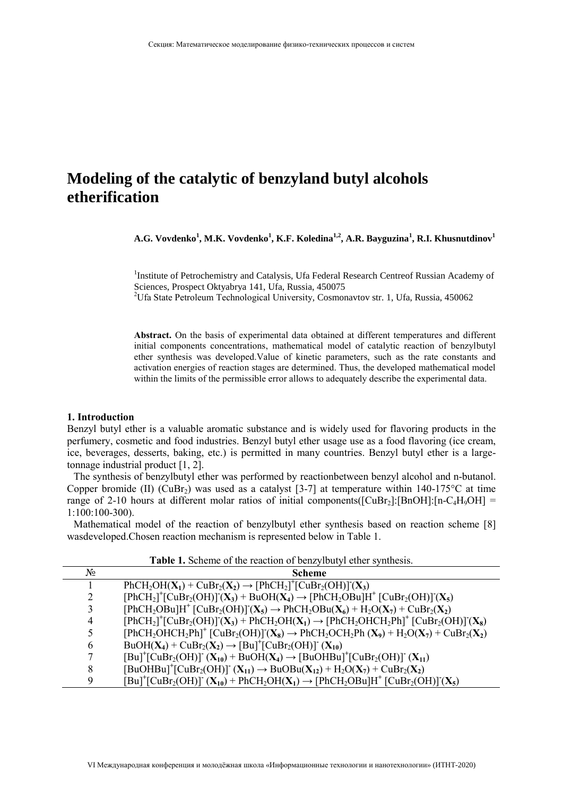# **Modeling of the catalytic of benzyland butyl alcohols etherification**

**A.G. Vovdenko<sup>1</sup> , M.K. Vovdenko<sup>1</sup> , K.F. Koledina1,2, A.R. Bayguzina<sup>1</sup> , R.I. Khusnutdinov<sup>1</sup>**

<sup>1</sup>Institute of Petrochemistry and Catalysis, Ufa Federal Research Centreof Russian Academy of Sciences, Prospect Oktyabrya 141, Ufa, Russia, 450075

<sup>2</sup>Ufa State Petroleum Technological University, Cosmonavtov str. 1, Ufa, Russia, 450062

**Abstract.** On the basis of experimental data obtained at different temperatures and different initial components concentrations, mathematical model of catalytic reaction of benzylbutyl ether synthesis was developed.Value of kinetic parameters, such as the rate constants and activation energies of reaction stages are determined. Thus, the developed mathematical model within the limits of the permissible error allows to adequately describe the experimental data.

#### **1. Introduction**

Benzyl butyl ether is a valuable aromatic substance and is widely used for flavoring products in the perfumery, cosmetic and food industries. Benzyl butyl ether usage use as a food flavoring (ice cream, ice, beverages, desserts, baking, etc.) is permitted in many countries. Benzyl butyl ether is a largetonnage industrial product [1, 2].

The synthesis of benzylbutyl ether was performed by reactionbetween benzyl alcohol and n-butanol. Copper bromide (II) (CuBr<sub>2</sub>) was used as a catalyst [3-7] at temperature within 140-175<sup>o</sup>C at time range of 2-10 hours at different molar ratios of initial components( $\text{[CuBr}_2\text{]}:\text{[BnOH]}:\text{[n-C}_4\text{H}_9\text{OH]}$  = 1:100:100-300).

Mathematical model of the reaction of benzylbutyl ether synthesis based on reaction scheme [8] wasdeveloped.Chosen reaction mechanism is represented below in Table 1.

| <b>Thore I</b> , beneate of the reaction of bear from the symmetric. |                                                                                                                                                                                                                               |  |  |  |
|----------------------------------------------------------------------|-------------------------------------------------------------------------------------------------------------------------------------------------------------------------------------------------------------------------------|--|--|--|
| $N_2$                                                                | <b>Scheme</b>                                                                                                                                                                                                                 |  |  |  |
|                                                                      | $PhCH_2OH(X_1) + CuBr_2(X_2) \rightarrow [PhCH_2]^+[CuBr_2(OH)](X_3)$                                                                                                                                                         |  |  |  |
| 2                                                                    | $[PhCH_2]^+$ [CuBr <sub>2</sub> (OH)] $(X_3)$ + BuOH $(X_4)$ $\rightarrow$ $[PhCH_2OBu]H^+$ [CuBr <sub>2</sub> (OH)] $(X_5)$                                                                                                  |  |  |  |
| 3                                                                    | $[PhCH_2OBu]H^+[CuBr_2(OH)](X_5) \rightarrow PhCH_2OBu(X_6) + H_2O(X_7) + CuBr_2(X_2)$                                                                                                                                        |  |  |  |
| 4                                                                    | $[PhCH_2]^+$ [CuBr <sub>2</sub> (OH)] <sup>-</sup> (X <sub>3</sub> ) + PhCH <sub>2</sub> OH(X <sub>1</sub> ) $\rightarrow$ $[PhCH_2OHCH_2PH]^+$ [CuBr <sub>2</sub> (OH)] <sup>-</sup> (X <sub>8</sub> )                       |  |  |  |
|                                                                      | $[PhCH_2OHCH_2Ph]^+$ $[CuBr_2(OH)]^-(X_8) \rightarrow PhCH_2OCH_2Ph(X_9) + H_2O(X_7) + CuBr_2(X_2)$                                                                                                                           |  |  |  |
| 6                                                                    | $BuOH(X_4) + CuBr_2(X_2) \rightarrow [Bu]^{\dagger}[CuBr_2(OH)]^{\dagger}(X_{10})$                                                                                                                                            |  |  |  |
| 7                                                                    | $[Bul^+[CuBr_2(OH)]^-(X_{10})+BuOH(X_4) \rightarrow [BuOHBu]^+[CuBr_2(OH)]^-(X_{11})$                                                                                                                                         |  |  |  |
| 8                                                                    | $[BuOHBu]^{+}[CuBr_{2}(OH)]^{+}(X_{11}) \rightarrow BuOBu(X_{12}) + H_{2}O(X_{7}) + CuBr_{2}(X_{2})$                                                                                                                          |  |  |  |
| 9                                                                    | $[Bu]^{\dagger}$ [CuBr <sub>2</sub> (OH)] <sup>-</sup> (X <sub>10</sub> ) + PhCH <sub>2</sub> OH(X <sub>1</sub> ) $\rightarrow$ [PhCH <sub>2</sub> OBu]H <sup>+</sup> [CuBr <sub>2</sub> (OH)] <sup>-</sup> (X <sub>5</sub> ) |  |  |  |

**Table 1.** Scheme of the reaction of benzylbutyl ether synthesis.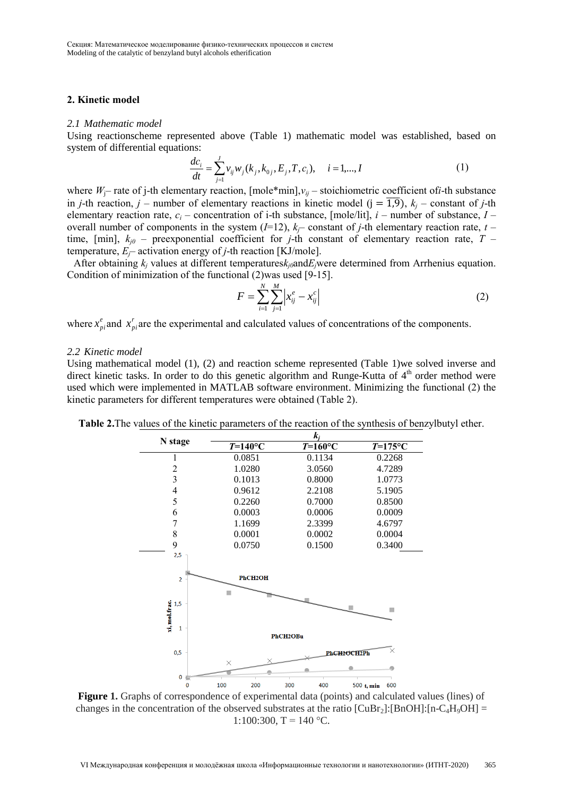### **2. Kinetic model**

#### *2.1 Mathematic model*

Using reactionscheme represented above (Table 1) mathematic model was established, based on system of differential equations:

$$
\frac{dc_i}{dt} = \sum_{j=1}^{J} v_{ij} w_j (k_j, k_{0j}, E_j, T, c_i), \quad i = 1,..., I
$$
\n(1)

where  $W_i$ – rate of j-th elementary reaction, [mole\*min], $v_{ij}$  – stoichiometric coefficient of*i*-th substance in *j*-th reaction, *j* – number of elementary reactions in kinetic model ( $j = \overline{1,9}$ ),  $k_j$  – constant of *j*-th elementary reaction rate,  $c_i$  – concentration of i-th substance, [mole/lit],  $i$  – number of substance,  $I$  – overall number of components in the system  $(I=12)$ ,  $k_f$ – constant of *j*-th elementary reaction rate, *t* – time, [min],  $k_{j0}$  – preexponential coefficient for *j*-th constant of elementary reaction rate, *T* – temperature,  $E_f$ – activation energy of *j*-th reaction [KJ/mole].

After obtaining  $k_i$  values at different temperatures $k_i$ <sub>0</sub>and $E_i$ were determined from Arrhenius equation. Condition of minimization of the functional (2)was used [9-15].

$$
F = \sum_{i=1}^{N} \sum_{j=1}^{M} \left| x_{ij}^{e} - x_{ij}^{c} \right|
$$
 (2)

where  $x_{pi}^e$  and  $x_{pi}^r$  are the experimental and calculated values of concentrations of the components.

#### *2.2 Kinetic model*

Using mathematical model (1), (2) and reaction scheme represented (Table 1)we solved inverse and direct kinetic tasks. In order to do this genetic algorithm and Runge-Kutta of  $4<sup>th</sup>$  order method were used which were implemented in MATLAB software environment. Minimizing the functional (2) the kinetic parameters for different temperatures were obtained (Table 2).



**Table 2.**The values of the kinetic parameters of the reaction of the synthesis of benzylbutyl ether.

**Figure 1.** Graphs of correspondence of experimental data (points) and calculated values (lines) of changes in the concentration of the observed substrates at the ratio  $\text{[CuBr}_2\text{]:}[\text{BnOH}]\text{:}[n-C_4H_9OH]=$ 1:100:300,  $T = 140$  °C.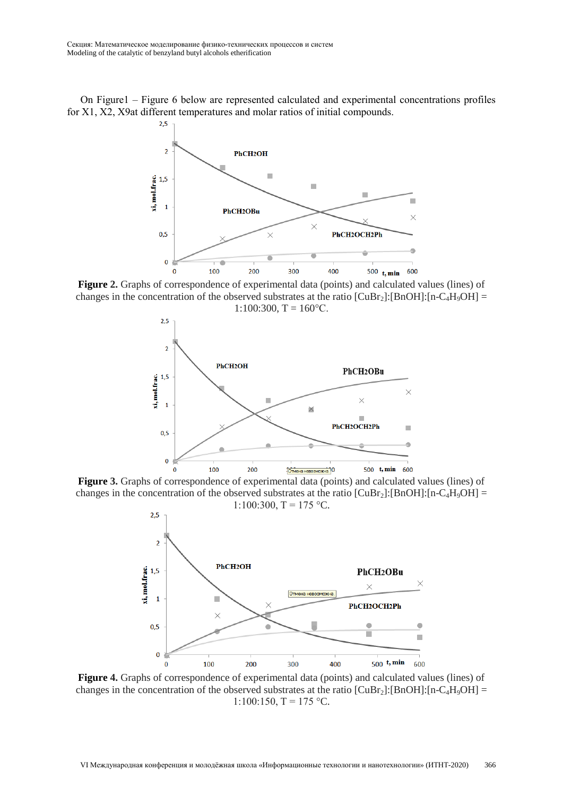On Figure1 – Figure 6 below are represented calculated and experimental concentrations profiles for X1, X2, X9at different temperatures and molar ratios of initial compounds.



**Figure 2.** Graphs of correspondence of experimental data (points) and calculated values (lines) of changes in the concentration of the observed substrates at the ratio  $[CuBr<sub>2</sub>]:[BnOH]:[n-C<sub>4</sub>H<sub>9</sub>OH] =$  $1:100:300$ , T = 160 $^{\circ}$ C.



**Figure 3.** Graphs of correspondence of experimental data (points) and calculated values (lines) of changes in the concentration of the observed substrates at the ratio  $[CuBr<sub>2</sub>]:[BnOH]:[n-C<sub>4</sub>H<sub>9</sub>OH] =$ 1:100:300,  $T = 175$  °C.



**Figure 4.** Graphs of correspondence of experimental data (points) and calculated values (lines) of changes in the concentration of the observed substrates at the ratio  $\text{[CuBr}_2\text{]:}[\text{BnOH}]\text{:}[n-C_4H_9OH]=$ 1:100:150,  $T = 175$  °C.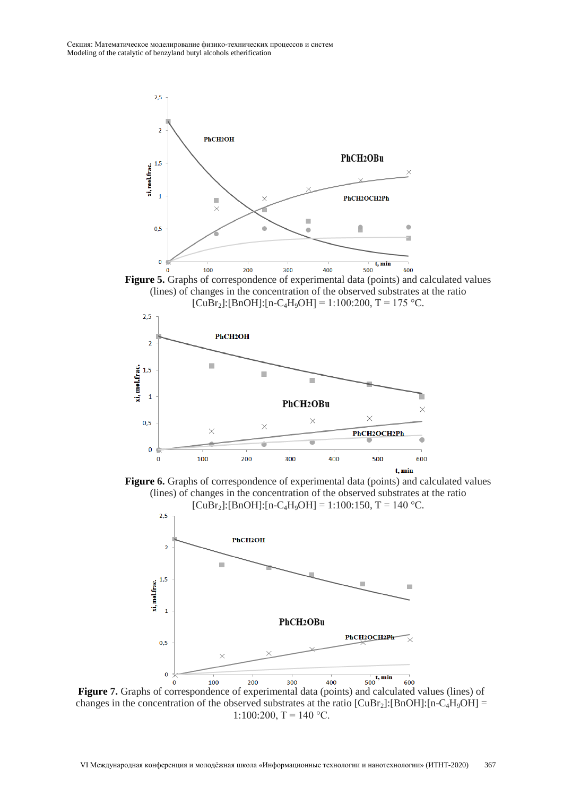





Figure 6. Graphs of correspondence of experimental data (points) and calculated values (lines) of changes in the concentration of the observed substrates at the ratio  $[CuBr<sub>2</sub>]:[BnOH]:[n-C<sub>4</sub>H<sub>9</sub>OH] = 1:100:150, T = 140 °C.$ 



**Figure 7.** Graphs of correspondence of experimental data (points) and calculated values (lines) of changes in the concentration of the observed substrates at the ratio  $[CuBr<sub>2</sub>]:[BnOH]:[n-C<sub>4</sub>H<sub>9</sub>OH] =$ 1:100:200,  $T = 140$  °C.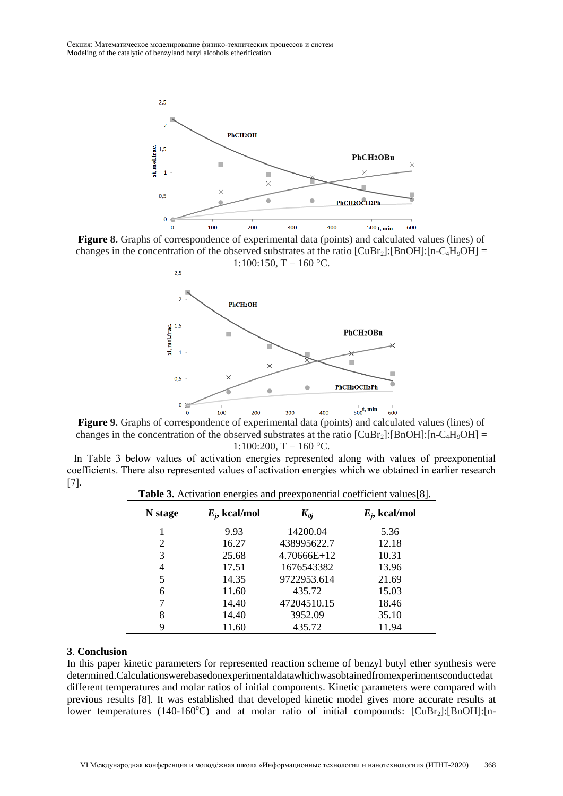

**Figure 8.** Graphs of correspondence of experimental data (points) and calculated values (lines) of changes in the concentration of the observed substrates at the ratio  $\text{[CuBr}_2\text{]}:\text{[BnOH]}:\text{[n--}C_4\text{H}_9\text{OH]}$ 



**Figure 9.** Graphs of correspondence of experimental data (points) and calculated values (lines) of changes in the concentration of the observed substrates at the ratio  $\text{[CuBr}_2\text{]}:\text{[BnOH]}:\text{[n-C}_4\text{H}_9\text{OH]}$  = 1:100:200,  $T = 160$  °C.

In Table 3 below values of activation energies represented along with values of preexponential coefficients. There also represented values of activation energies which we obtained in earlier research [7].

**Table 3.** Activation energies and preexponential coefficient values[8].

| N stage | $E_i$ , kcal/mol | $K_{0i}$    | $E_i$ , kcal/mol |
|---------|------------------|-------------|------------------|
|         | 9.93             | 14200.04    | 5.36             |
| 2       | 16.27            | 438995622.7 | 12.18            |
| 3       | 25.68            | 4.70666E+12 | 10.31            |
| 4       | 17.51            | 1676543382  | 13.96            |
| 5       | 14.35            | 9722953.614 | 21.69            |
| 6       | 11.60            | 435.72      | 15.03            |
|         | 14.40            | 47204510.15 | 18.46            |
| 8       | 14.40            | 3952.09     | 35.10            |
| 9       | 11.60            | 435.72      | 11.94            |

#### **3**. **Conclusion**

In this paper kinetic parameters for represented reaction scheme of benzyl butyl ether synthesis were determined.Calculationswerebasedonexperimentaldatawhichwasobtainedfromexperimentsconductedat different temperatures and molar ratios of initial components. Kinetic parameters were compared with previous results [8]. It was established that developed kinetic model gives more accurate results at lower temperatures (140-160°C) and at molar ratio of initial compounds:  $\lbrack \text{CuBr}_2 \rbrack$ : [BnOH]: [n